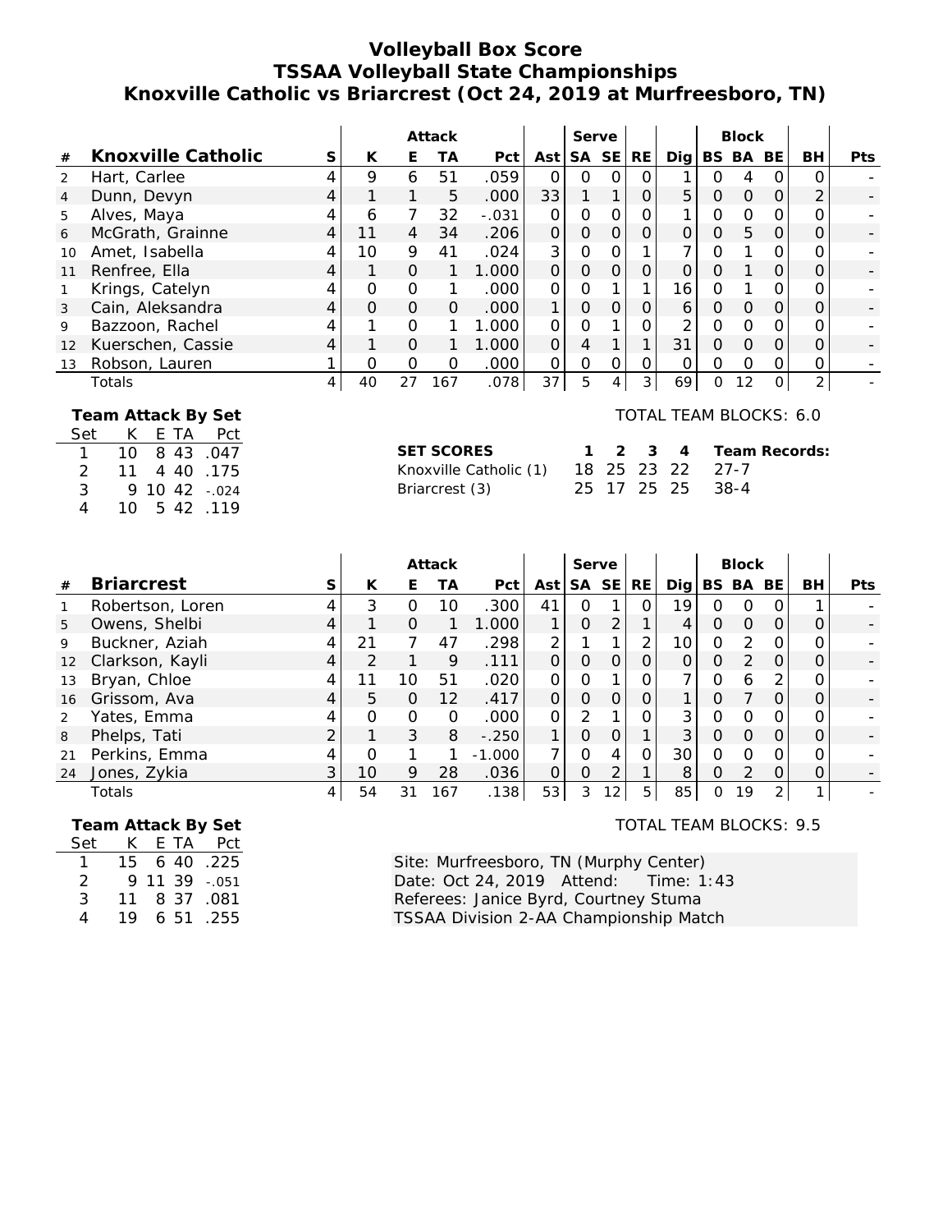# **Volleyball Box Score TSSAA Volleyball State Championships Knoxville Catholic vs Briarcrest (Oct 24, 2019 at Murfreesboro, TN)**

|                |                    |   |          |          | Attack |                   |          | Serve     |           |     |                 |   | <b>Block</b> |     |                |            |
|----------------|--------------------|---|----------|----------|--------|-------------------|----------|-----------|-----------|-----|-----------------|---|--------------|-----|----------------|------------|
| #              | Knoxville Catholic | S | К        | Е        | TА     | Pct               | Ast      | <b>SA</b> | <b>SE</b> | RE. | Dia             |   | BS BA        | BE. | BH             | <b>Pts</b> |
| 2              | Hart, Carlee       |   | 9        | 6        | 51     | .059              | $\Omega$ | Ω         | O         | Ω   |                 | O | 4            |     | റ              |            |
| $\overline{4}$ | Dunn, Devyn        |   |          |          | 5.     | .000              | 33       |           |           | O   | 5               | O | $\Omega$     | 0   | ⌒              |            |
| 5              | Alves, Maya        |   | 6        | 7        | 32     | $-.031$           | $\Omega$ | 0         | O         |     |                 | 0 | $\Omega$     | Ω   |                |            |
| 6              | McGrath, Grainne   |   | 11       | 4        | 34     | .206              | $\Omega$ | O         | $\Omega$  | 0   |                 | 0 | 5            | 0   |                |            |
| 10             | Amet, Isabella     |   | 10       | 9        | 41     | .024              | 3        | Ω         |           |     |                 | 0 |              |     |                |            |
| 11             | Renfree, Ella      |   |          | $\Omega$ |        | 1.000             | $\Omega$ | $\Omega$  | $\Omega$  |     |                 | ი |              |     |                |            |
|                | Krings, Catelyn    |   | $\Omega$ | $\Omega$ |        | .000              | $\Omega$ | Ω         |           | 1   | 16 <sub>1</sub> | 0 |              |     |                |            |
| 3              | Cain, Aleksandra   |   | $\Omega$ | $\Omega$ | 0      | .000 <sub>1</sub> | 1        | 0         | $\Omega$  | O   | 6               | O | $\Omega$     | Ο   |                |            |
| 9              | Bazzoon, Rachel    |   |          | $\Omega$ |        | 1.000             | $\Omega$ | O         |           |     | $\mathcal{P}$   | 0 | $\Omega$     | Ω   |                |            |
| 12             | Kuerschen, Cassie  |   |          | $\Omega$ |        | 1.000             | $\Omega$ | 4         |           | 1   | 31              | O | $\Omega$     | 0   |                |            |
| 13             | Robson, Lauren     |   | O        | $\Omega$ | O      | .000              | $\Omega$ | O         | $\Omega$  | Ω   | Ω               | 0 | $\Omega$     | Ω   | Ω              |            |
|                | Totals             |   | 40       | 27       | 167    | .078              | 37       | 5         |           | 3   | 69              | 0 | 12           | 0   | $\overline{2}$ |            |

 **Team Attack By Set**

Set K E TA Pct 1 10 8 43 .047 2 11 4 40 .175 3 9 10 42 - 024 4 10 5 42 .119

| <b>SET SCORES</b>      |
|------------------------|
| Knoxville Catholic (1) |
| Briarcrest (3)         |

TOTAL TEAM BLOCKS: 6.0

| SET SCORES                              |  |  | 1 2 3 4 Team Records: |
|-----------------------------------------|--|--|-----------------------|
| Knoxville Catholic (1) 18 25 23 22 27-7 |  |  |                       |
| Briarcrest (3)                          |  |  | 25 17 25 25 38-4      |

|                   |                   |   |    |          | Attack   |          |          | Serve         |           |           |      |   | <b>Block</b>  |           |    |            |
|-------------------|-------------------|---|----|----------|----------|----------|----------|---------------|-----------|-----------|------|---|---------------|-----------|----|------------|
| #                 | <b>Briarcrest</b> | S | К  | Е        | ТA       | Pct      | Ast      | SA            | <b>SE</b> | <b>RE</b> | Dial |   | BS BA         | <b>BE</b> | BH | <b>Pts</b> |
|                   | Robertson, Loren  |   | 3  | O        | 10       | .300     | 41       | O             |           | O         | 19   | N |               |           |    |            |
| 5                 | Owens, Shelbi     |   |    | $\Omega$ |          | 1.000    |          | 0             |           |           |      | O | $\Omega$      |           |    |            |
| 9                 | Buckner, Aziah    |   | 21 |          | 47       | .298     | 2        |               |           | 2         | 10   | 0 | $\mathcal{P}$ |           |    |            |
| $12 \overline{ }$ | Clarkson, Kayli   |   |    |          | 9        | .111     | Ω        | Ω             |           |           |      | ი | $\mathcal{P}$ |           |    |            |
| 13                | Bryan, Chloe      |   | 11 | 10       | 51       | .020     | $\Omega$ | O             |           |           |      | ი | 6             | ⌒         |    |            |
| 16                | Grissom, Ava      |   | 5  | 0        | 12       | .417     | $\Omega$ | $\Omega$      | $\Omega$  |           |      | ი |               |           |    |            |
|                   | Yates, Emma       |   | O  | $\Omega$ | $\Omega$ | .000     | $\Omega$ | $\mathcal{P}$ |           |           | 3    | ∩ | $\Omega$      |           | O  |            |
| 8                 | Phelps, Tati      |   |    | 3        | 8        | $-.250$  |          | 0             |           |           | 3    | ი | $\Omega$      |           |    |            |
| 21                | Perkins, Emma     |   | ∩  |          |          | $-1.000$ | 7        | O             | 4         | 0         | 30   | O |               |           |    |            |
| 24                | Jones, Zykia      | 3 | 10 | 9        | 28       | .036     | Ω        | 0             | ◠         |           | 8    | Ω | $\mathcal{D}$ |           |    |            |
|                   | Totals            |   | 54 | 31       | 167      | .138     | 53       | 3.            | 12        | 5.        | 85   | 0 | 19            | 2         |    |            |

 **Team Attack By Set**

| Set | K.  | E TA  | Pct     |
|-----|-----|-------|---------|
| 1.  | 15. | 6 40  | .225    |
| 2   | Q   | 11 39 | $-.051$ |
| 3   | 11  | 837   | .081    |
| 4   | 19  | 651   | .255    |

### TOTAL TEAM BLOCKS: 9.5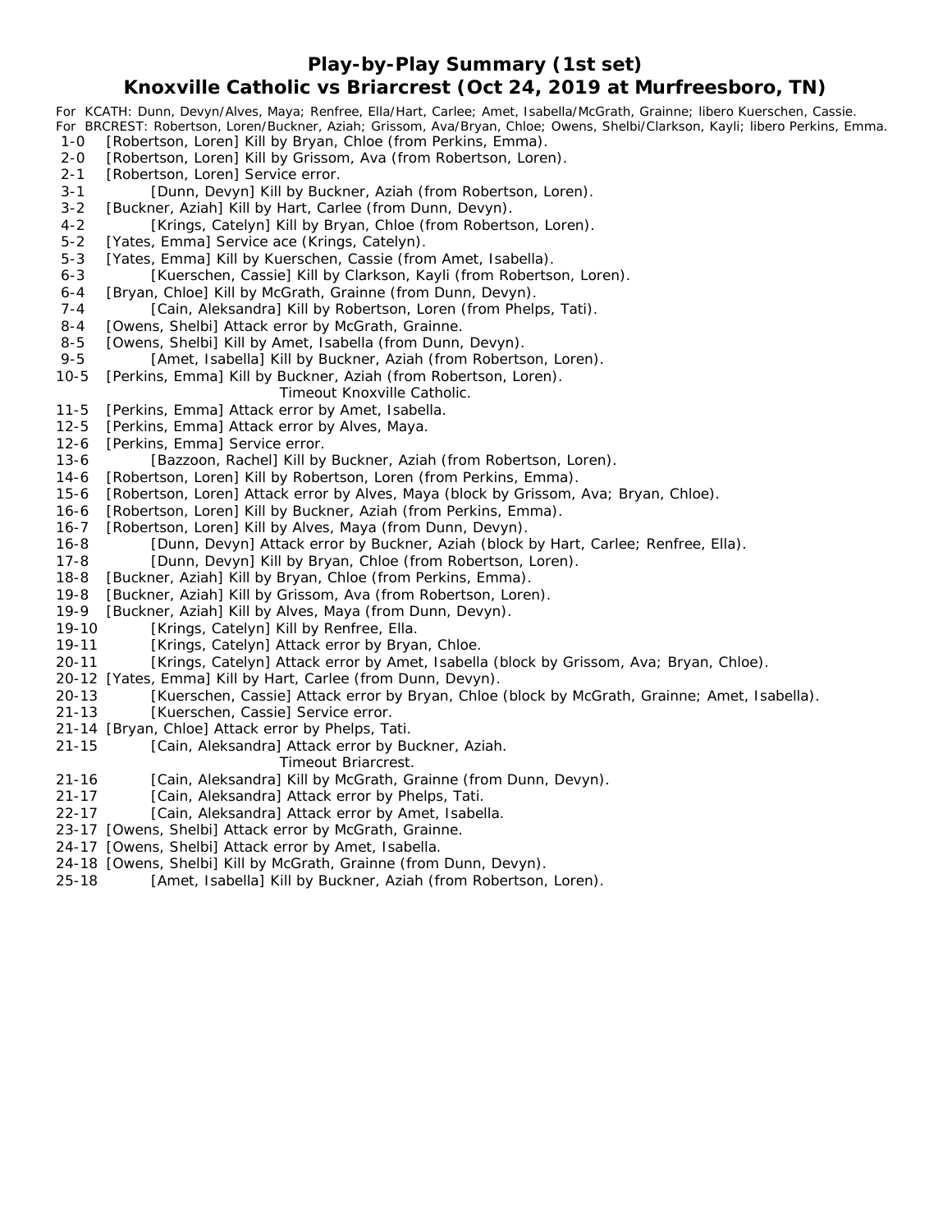**Play-by-Play Summary (1st set)**

## **Knoxville Catholic vs Briarcrest (Oct 24, 2019 at Murfreesboro, TN)**

*For KCATH: Dunn, Devyn/Alves, Maya; Renfree, Ella/Hart, Carlee; Amet, Isabella/McGrath, Grainne; libero Kuerschen, Cassie. For BRCREST: Robertson, Loren/Buckner, Aziah; Grissom, Ava/Bryan, Chloe; Owens, Shelbi/Clarkson, Kayli; libero Perkins, Emma.* 1-0 [Robertson, Loren] Kill by Bryan, Chloe (from Perkins, Emma). 2-0 [Robertson, Loren] Kill by Grissom, Ava (from Robertson, Loren). 2-1 [Robertson, Loren] Service error. 3-1 [Dunn, Devyn] Kill by Buckner, Aziah (from Robertson, Loren). 3-2 [Buckner, Aziah] Kill by Hart, Carlee (from Dunn, Devyn). 4-2 [Krings, Catelyn] Kill by Bryan, Chloe (from Robertson, Loren). 5-2 [Yates, Emma] Service ace (Krings, Catelyn). 5-3 [Yates, Emma] Kill by Kuerschen, Cassie (from Amet, Isabella). 6-3 [Kuerschen, Cassie] Kill by Clarkson, Kayli (from Robertson, Loren). 6-4 [Bryan, Chloe] Kill by McGrath, Grainne (from Dunn, Devyn). 7-4 [Cain, Aleksandra] Kill by Robertson, Loren (from Phelps, Tati). 8-4 [Owens, Shelbi] Attack error by McGrath, Grainne. 8-5 [Owens, Shelbi] Kill by Amet, Isabella (from Dunn, Devyn). 9-5 [Amet, Isabella] Kill by Buckner, Aziah (from Robertson, Loren). 10-5 [Perkins, Emma] Kill by Buckner, Aziah (from Robertson, Loren). *Timeout Knoxville Catholic.* 11-5 [Perkins, Emma] Attack error by Amet, Isabella. 12-5 [Perkins, Emma] Attack error by Alves, Maya. 12-6 [Perkins, Emma] Service error. 13-6 [Bazzoon, Rachel] Kill by Buckner, Aziah (from Robertson, Loren). 14-6 [Robertson, Loren] Kill by Robertson, Loren (from Perkins, Emma). 15-6 [Robertson, Loren] Attack error by Alves, Maya (block by Grissom, Ava; Bryan, Chloe). 16-6 [Robertson, Loren] Kill by Buckner, Aziah (from Perkins, Emma). 16-7 [Robertson, Loren] Kill by Alves, Maya (from Dunn, Devyn). 16-8 [Dunn, Devyn] Attack error by Buckner, Aziah (block by Hart, Carlee; Renfree, Ella). 17-8 [Dunn, Devyn] Kill by Bryan, Chloe (from Robertson, Loren). 18-8 [Buckner, Aziah] Kill by Bryan, Chloe (from Perkins, Emma). 19-8 [Buckner, Aziah] Kill by Grissom, Ava (from Robertson, Loren). 19-9 [Buckner, Aziah] Kill by Alves, Maya (from Dunn, Devyn). 19-10 [Krings, Catelyn] Kill by Renfree, Ella. 19-11 [Krings, Catelyn] Attack error by Bryan, Chloe. 20-11 [Krings, Catelyn] Attack error by Amet, Isabella (block by Grissom, Ava; Bryan, Chloe). 20-12 [Yates, Emma] Kill by Hart, Carlee (from Dunn, Devyn). 20-13 [Kuerschen, Cassie] Attack error by Bryan, Chloe (block by McGrath, Grainne; Amet, Isabella). 21-13 [Kuerschen, Cassie] Service error. 21-14 [Bryan, Chloe] Attack error by Phelps, Tati. 21-15 [Cain, Aleksandra] Attack error by Buckner, Aziah. *Timeout Briarcrest.* 21-16 [Cain, Aleksandra] Kill by McGrath, Grainne (from Dunn, Devyn). 21-17 [Cain, Aleksandra] Attack error by Phelps, Tati. 22-17 [Cain, Aleksandra] Attack error by Amet, Isabella. 23-17 [Owens, Shelbi] Attack error by McGrath, Grainne. 24-17 [Owens, Shelbi] Attack error by Amet, Isabella. 24-18 [Owens, Shelbi] Kill by McGrath, Grainne (from Dunn, Devyn).

25-18 [Amet, Isabella] Kill by Buckner, Aziah (from Robertson, Loren).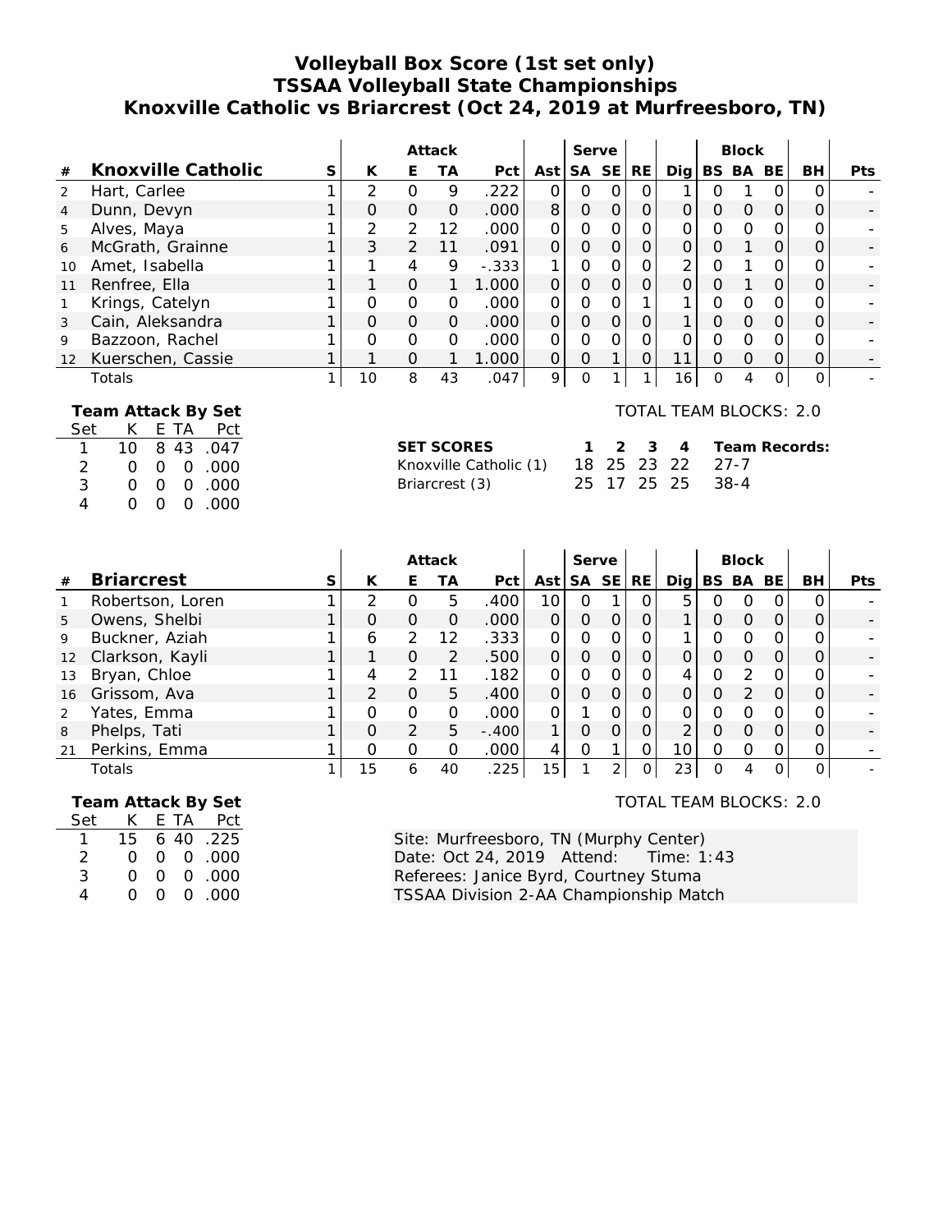# **Volleyball Box Score (1st set only) TSSAA Volleyball State Championships Knoxville Catholic vs Briarcrest (Oct 24, 2019 at Murfreesboro, TN)**

|                |                                                                       |   |               |               | Attack   |         |          | Serve    |          |                |                 |          | <b>Block</b> |           |          |     |
|----------------|-----------------------------------------------------------------------|---|---------------|---------------|----------|---------|----------|----------|----------|----------------|-----------------|----------|--------------|-----------|----------|-----|
| #              | Knoxville Catholic                                                    | S | K             | Е             | ТA       | Pct     | Ast      |          | SA SE    | RE             | Dig l           |          | BS BA        | <b>BE</b> | BH       | Pts |
| 2              | Hart, Carlee                                                          |   | $\mathcal{P}$ | $\Omega$      | 9        | .222    | $\Omega$ | Ο        |          |                |                 | O        |              |           |          |     |
| $\overline{4}$ | Dunn, Devyn                                                           |   | $\Omega$      | $\Omega$      | $\Omega$ | .000    | 8        | 0        | $\Omega$ | $\overline{O}$ | O               | Ο        | $\Omega$     | $\Omega$  | 0        |     |
| 5              | Alves, Maya                                                           |   | 2             | 2             | 12       | .000    | $\Omega$ | 0        | O        | Ο              |                 | Ω        | $\Omega$     | Ο         |          |     |
| 6              | McGrath, Grainne                                                      |   | 3             | 2             | 11       | .091    | $\Omega$ | $\Omega$ | $\Omega$ | O              | $\Omega$        | $\Omega$ |              | O         | 0        |     |
| 10             | Amet, Isabella                                                        |   |               | 4             | 9        | $-.333$ |          | 0        |          | Ω              | 2               | Ο        |              |           |          |     |
| 11             | Renfree, Ella                                                         |   |               | $\Omega$      | 1.       | 1.000   | $\Omega$ | O        | $\Omega$ | 0              | $\Omega$        | Ο        |              | O         |          |     |
|                | Krings, Catelyn                                                       |   | Ο             | $\mathcal{O}$ | $\Omega$ | .000    | $\Omega$ | 0        |          |                |                 | O        | $\Omega$     | Ω         |          |     |
| 3              | Cain, Aleksandra                                                      |   | $\Omega$      | $\mathcal{O}$ | $\Omega$ | .000    | $\Omega$ | 0        | $\Omega$ | 0              |                 | Ο        | $\Omega$     | O         |          |     |
| 9              | Bazzoon, Rachel                                                       |   | $\Omega$      | $\Omega$      | $\Omega$ | .000    | $\Omega$ | O        | O        | O              |                 | Ο        | $\Omega$     | Ω         |          |     |
| 12             | Kuerschen, Cassie                                                     |   |               | $\Omega$      |          | 1.000   | $\Omega$ | 0        |          | $\Omega$       | 11              | Ω        | $\Omega$     | O         | Ω        |     |
|                | Totals                                                                |   | 10            | 8             | 43       | .047    | 9        | O        |          |                | 16 <sub>1</sub> | O        | 4            | 0         | $\Omega$ |     |
|                | TOTAL TEAM BLOCKS: 2.0<br>Team Attack By Set<br>Pct<br>Set<br>E<br>TА |   |               |               |          |         |          |          |          |                |                 |          |              |           |          |     |

| wu            |          |  | וטו הוא נ    |
|---------------|----------|--|--------------|
|               |          |  | 10 8 43 .047 |
| $\mathcal{P}$ |          |  | 000.000      |
| 3             |          |  | 000.000      |
| 4             | $\Omega$ |  | 00.000       |

| <b>SET SCORES</b>      | ำ  |
|------------------------|----|
| Knoxville Catholic (1) | 18 |
| Briarcrest (3)         | 25 |

| SET SCORES                         |  |  | 1 2 3 4 Team Records: |
|------------------------------------|--|--|-----------------------|
|                                    |  |  |                       |
| 25 17 25 25 38-4<br>Briarcrest (3) |  |  |                       |

|                 |                   |   |          |                  | Attack |         |                 | Serve            |              |          |                 |                  | <b>Block</b>     |    |                  |            |
|-----------------|-------------------|---|----------|------------------|--------|---------|-----------------|------------------|--------------|----------|-----------------|------------------|------------------|----|------------------|------------|
| #               | <b>Briarcrest</b> | S | К        | F.               | ТA     | Pct I   | Ast             |                  | SA SE        | RE.      | Dia l           |                  | BS BA            | BE | BH.              | <b>Pts</b> |
|                 | Robertson, Loren  |   |          | $\left( \right)$ | 5      | .400    | 10              | $\left( \right)$ |              | O        | 5               | $\left( \right)$ | $\left( \right)$ | Ω  | $\left( \right)$ |            |
| 5               | Owens, Shelbi     |   | $\Omega$ | O                | O      | .000    |                 | Ω                | $\Omega$     | O        |                 | O                | 0                | O  | $\Omega$         |            |
| 9               | Buckner, Aziah    |   | 6        | 2                | 12     | .333    |                 | O                | <sup>n</sup> | O        |                 | Ω                | ∩                | ∩  | $\Omega$         |            |
| 12 <sup>2</sup> | Clarkson, Kayli   |   |          | Ο                | 2      | .500    |                 | Ω                | $\Omega$     | O        | $\Omega$        | Ω                | Ω                |    | $\Omega$         |            |
| 13              | Bryan, Chloe      |   | 4        | $\mathcal{P}$    |        | .182    |                 | Ω                |              | $\Omega$ | 4               | Ω                | っ                |    | $\Omega$         |            |
| 16              | Grissom, Ava      |   |          | $\Omega$         | 5.     | .400    |                 | 0                | 0            |          | $\Omega$        | O                |                  | O  | $\Omega$         |            |
| 2               | Yates, Emma       |   |          | Ο                | Ω      | .000    |                 |                  |              | Ο        | 0               | Ω                |                  |    |                  |            |
| 8               | Phelps, Tati      |   | Ω        | 2                | 5      | $-.400$ |                 | Ω                |              | Ο        | 2               | Ω                | $\left( \right)$ | O  | $\Omega$         |            |
| 21              | Perkins, Emma     |   |          | O                | O      | .000    | 4               | Ω                |              | Ο        | 101             | O                | Ω                | Ω  | $\Omega$         |            |
|                 | Totals            |   | 15       | 6                | 40     | .225    | 15 <sub>1</sub> |                  | C.           | $\Omega$ | 23 <sub>1</sub> | O                | 4                |    | 0                |            |

| Team Attack By Set |        |  |  |
|--------------------|--------|--|--|
|                    | $\sim$ |  |  |

| Set | K.       |                | E TA Pct  |
|-----|----------|----------------|-----------|
|     | 15       |                | 6 40 .225 |
| 2   | $\Omega$ |                | 0.000     |
| 3   | ∩        | $\overline{O}$ | 0 .000    |
| 4   | $\Omega$ | $\overline{O}$ | 0.000     |

TOTAL TEAM BLOCKS: 2.0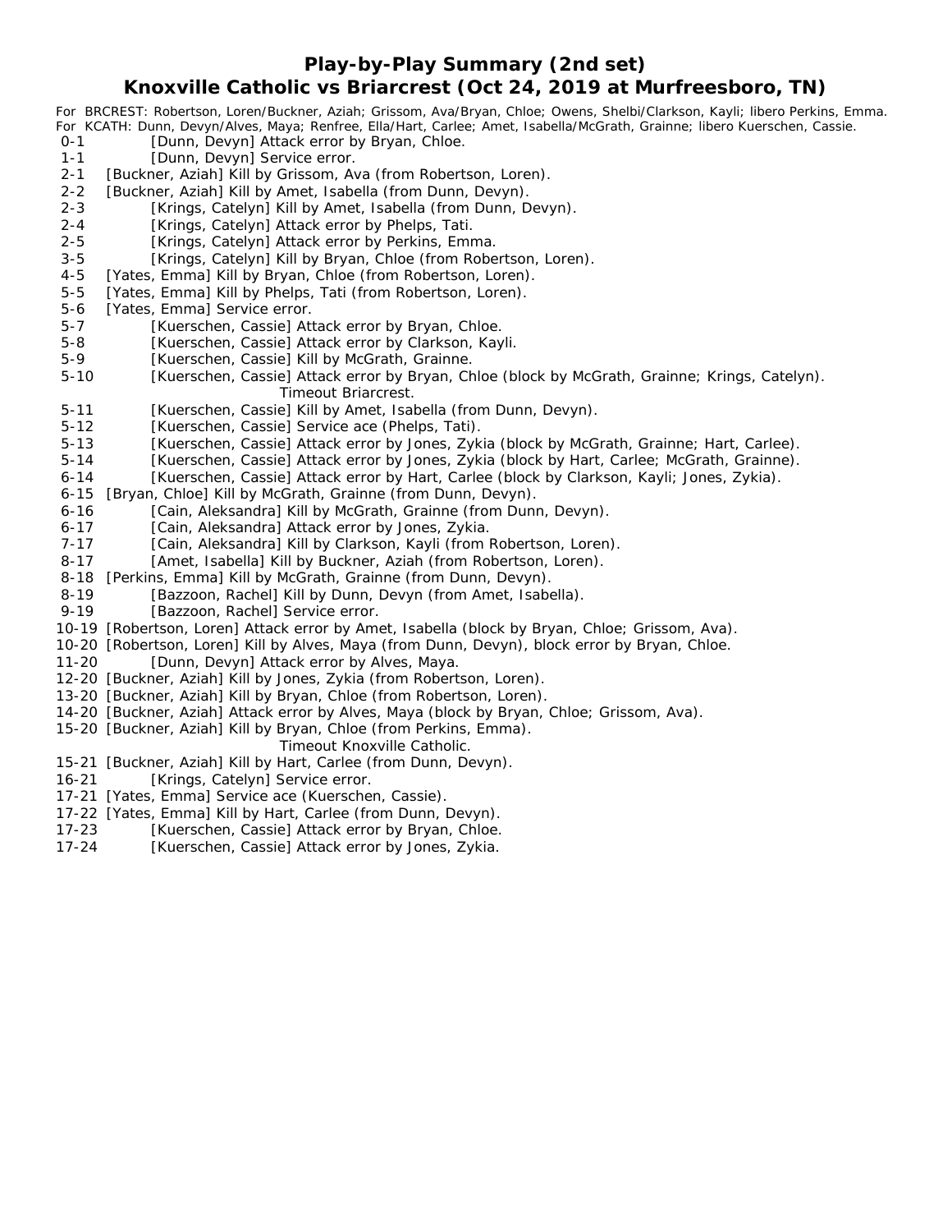### **Play-by-Play Summary (2nd set)**

## **Knoxville Catholic vs Briarcrest (Oct 24, 2019 at Murfreesboro, TN)**

*For BRCREST: Robertson, Loren/Buckner, Aziah; Grissom, Ava/Bryan, Chloe; Owens, Shelbi/Clarkson, Kayli; libero Perkins, Emma. For KCATH: Dunn, Devyn/Alves, Maya; Renfree, Ella/Hart, Carlee; Amet, Isabella/McGrath, Grainne; libero Kuerschen, Cassie.* [Dunn, Devyn] Attack error by Bryan, Chloe. 1-1 [Dunn, Devyn] Service error. 2-1 [Buckner, Aziah] Kill by Grissom, Ava (from Robertson, Loren). 2-2 [Buckner, Aziah] Kill by Amet, Isabella (from Dunn, Devyn). 2-3 [Krings, Catelyn] Kill by Amet, Isabella (from Dunn, Devyn). 2-4 [Krings, Catelyn] Attack error by Phelps, Tati. 2-5 [Krings, Catelyn] Attack error by Perkins, Emma. 3-5 [Krings, Catelyn] Kill by Bryan, Chloe (from Robertson, Loren). 4-5 [Yates, Emma] Kill by Bryan, Chloe (from Robertson, Loren). 5-5 [Yates, Emma] Kill by Phelps, Tati (from Robertson, Loren). 5-6 [Yates, Emma] Service error. 5-7 [Kuerschen, Cassie] Attack error by Bryan, Chloe. 5-8 [Kuerschen, Cassie] Attack error by Clarkson, Kayli. 5-9 [Kuerschen, Cassie] Kill by McGrath, Grainne. 5-10 [Kuerschen, Cassie] Attack error by Bryan, Chloe (block by McGrath, Grainne; Krings, Catelyn). *Timeout Briarcrest.* 5-11 [Kuerschen, Cassie] Kill by Amet, Isabella (from Dunn, Devyn). 5-12 [Kuerschen, Cassie] Service ace (Phelps, Tati). 5-13 [Kuerschen, Cassie] Attack error by Jones, Zykia (block by McGrath, Grainne; Hart, Carlee). 5-14 [Kuerschen, Cassie] Attack error by Jones, Zykia (block by Hart, Carlee; McGrath, Grainne). 6-14 [Kuerschen, Cassie] Attack error by Hart, Carlee (block by Clarkson, Kayli; Jones, Zykia). 6-15 [Bryan, Chloe] Kill by McGrath, Grainne (from Dunn, Devyn). 6-16 [Cain, Aleksandra] Kill by McGrath, Grainne (from Dunn, Devyn). 6-17 [Cain, Aleksandra] Attack error by Jones, Zykia. 7-17 [Cain, Aleksandra] Kill by Clarkson, Kayli (from Robertson, Loren). 8-17 [Amet, Isabella] Kill by Buckner, Aziah (from Robertson, Loren). 8-18 [Perkins, Emma] Kill by McGrath, Grainne (from Dunn, Devyn). 8-19 [Bazzoon, Rachel] Kill by Dunn, Devyn (from Amet, Isabella). 9-19 [Bazzoon, Rachel] Service error. 10-19 [Robertson, Loren] Attack error by Amet, Isabella (block by Bryan, Chloe; Grissom, Ava). 10-20 [Robertson, Loren] Kill by Alves, Maya (from Dunn, Devyn), block error by Bryan, Chloe. 11-20 [Dunn, Devyn] Attack error by Alves, Maya. 12-20 [Buckner, Aziah] Kill by Jones, Zykia (from Robertson, Loren). 13-20 [Buckner, Aziah] Kill by Bryan, Chloe (from Robertson, Loren).

- 14-20 [Buckner, Aziah] Attack error by Alves, Maya (block by Bryan, Chloe; Grissom, Ava).
- 15-20 [Buckner, Aziah] Kill by Bryan, Chloe (from Perkins, Emma).

#### *Timeout Knoxville Catholic.*

- 15-21 [Buckner, Aziah] Kill by Hart, Carlee (from Dunn, Devyn).
- 16-21 [Krings, Catelyn] Service error.
- 17-21 [Yates, Emma] Service ace (Kuerschen, Cassie).
- 17-22 [Yates, Emma] Kill by Hart, Carlee (from Dunn, Devyn).
- 17-23 [Kuerschen, Cassie] Attack error by Bryan, Chloe.
- 17-24 [Kuerschen, Cassie] Attack error by Jones, Zykia.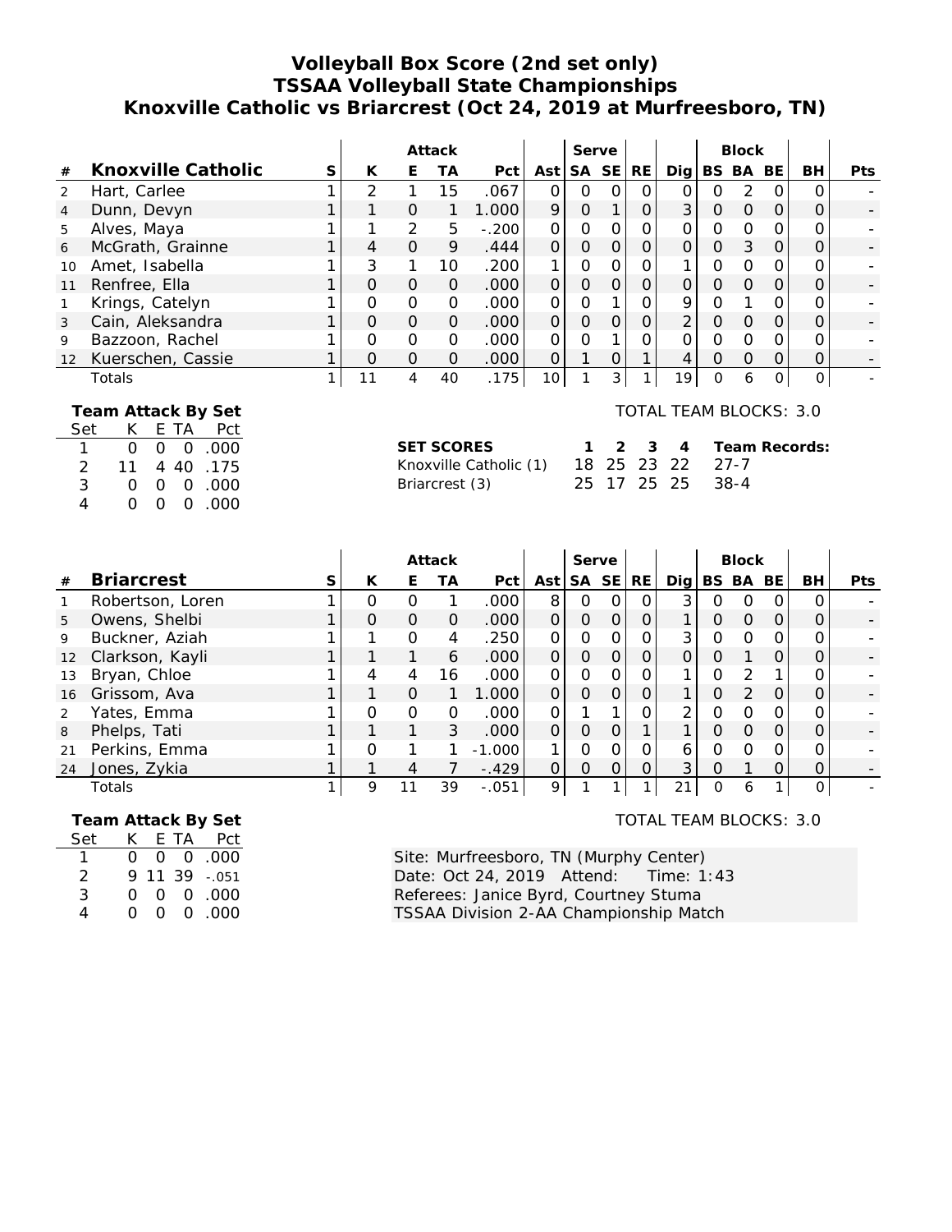# **Volleyball Box Score (2nd set only) TSSAA Volleyball State Championships Knoxville Catholic vs Briarcrest (Oct 24, 2019 at Murfreesboro, TN)**

|                          |                                                                                                                                                                                                                                       |              |                                                                                                                                                                                            |                | Attack         |         |                | Serve          |                |                |                |                | <b>Block</b>   |                |                |            |
|--------------------------|---------------------------------------------------------------------------------------------------------------------------------------------------------------------------------------------------------------------------------------|--------------|--------------------------------------------------------------------------------------------------------------------------------------------------------------------------------------------|----------------|----------------|---------|----------------|----------------|----------------|----------------|----------------|----------------|----------------|----------------|----------------|------------|
| $\#$                     | Knoxville Catholic                                                                                                                                                                                                                    | $\mathsf S$  | K                                                                                                                                                                                          | E              | <b>TA</b>      | Pct     | Ast            |                | SA SE          | RE             | Dig            |                | BS BA BE       |                | BH             | <b>Pts</b> |
| $\overline{2}$           | Hart, Carlee                                                                                                                                                                                                                          | 1            | $\overline{2}$                                                                                                                                                                             | 1              | 15             | .067    | $\Omega$       | $\Omega$       | $\overline{O}$ | 0              | $\overline{O}$ | $\Omega$       | $\overline{2}$ | $\Omega$       | O              |            |
| $\overline{4}$           | Dunn, Devyn                                                                                                                                                                                                                           | 1            | 1                                                                                                                                                                                          | $\overline{O}$ | 1              | 1.000   | 9              | $\overline{O}$ | $\mathbf{1}$   | $\overline{O}$ | 3              | O              | $\mathsf O$    | $\overline{O}$ | O              |            |
| 5                        | Alves, Maya                                                                                                                                                                                                                           | 1            | 1                                                                                                                                                                                          | $\overline{2}$ | 5              | $-.200$ | $\mathbf 0$    | $\overline{O}$ | $\overline{O}$ | $\overline{O}$ | 0              | $\mathbf 0$    | $\overline{O}$ | $\mathbf 0$    | $\Omega$       |            |
| 6                        | McGrath, Grainne                                                                                                                                                                                                                      | 1            | 4                                                                                                                                                                                          | $\overline{O}$ | 9              | .444    | $\overline{O}$ | $\overline{O}$ | $\overline{O}$ | $\overline{O}$ | $\overline{O}$ | $\overline{O}$ | $\mathfrak{Z}$ | $\overline{O}$ | $\overline{O}$ |            |
| 10                       | Amet, Isabella                                                                                                                                                                                                                        | 1            | 3                                                                                                                                                                                          | 1              | 10             | .200    | 1              | $\Omega$       | $\Omega$       | $\Omega$       | 1              | $\Omega$       | $\Omega$       | $\mathbf 0$    | $\Omega$       |            |
| 11                       | Renfree, Ella                                                                                                                                                                                                                         | 1            | $\overline{O}$                                                                                                                                                                             | $\overline{O}$ | $\overline{O}$ | .000    | $\overline{O}$ | $\overline{O}$ | $\overline{O}$ | $\overline{O}$ | $\overline{O}$ | $\overline{O}$ | $\overline{O}$ | $\overline{O}$ | O              |            |
| 1                        | Krings, Catelyn                                                                                                                                                                                                                       | 1            | $\Omega$                                                                                                                                                                                   | $\overline{O}$ | $\mathbf 0$    | .000    | $\Omega$       | $\Omega$       | 1              | $\Omega$       | 9              | $\Omega$       | 1              | $\Omega$       | $\Omega$       |            |
| 3                        | Cain, Aleksandra                                                                                                                                                                                                                      | 1            | $\mathbf 0$                                                                                                                                                                                | $\overline{O}$ | $\mathbf 0$    | .000    | $\overline{O}$ | $\overline{O}$ | $\overline{O}$ | $\overline{0}$ | $\overline{2}$ | $\mathbf 0$    | $\overline{O}$ | $\overline{O}$ | $\overline{O}$ |            |
| 9                        | Bazzoon, Rachel                                                                                                                                                                                                                       | 1            | $\Omega$                                                                                                                                                                                   | $\overline{0}$ | $\mathbf 0$    | .000    | $\Omega$       | $\overline{O}$ | $\mathbf{1}$   | $\overline{O}$ | $\overline{O}$ | $\Omega$       | $\Omega$       | $\Omega$       | O              |            |
| 12                       | Kuerschen, Cassie                                                                                                                                                                                                                     | 1            | $\mathbf 0$                                                                                                                                                                                | $\overline{O}$ | $\Omega$       | .000    | $\overline{0}$ | $\mathbf{1}$   | $\mathbf 0$    | $\mathbf{1}$   | 4              | $\mathbf 0$    | $\overline{O}$ | $\mathbf{O}$   | $\mathbf 0$    |            |
|                          | Totals                                                                                                                                                                                                                                | $\mathbf{1}$ | 11                                                                                                                                                                                         | $\overline{4}$ | 40             | .175    | 10             | $\mathbf{1}$   | 3              | $\mathbf{1}$   | 19             | $\overline{O}$ | 6              | $\mathsf{O}$   | $\overline{O}$ |            |
| 1<br>$\overline{2}$<br>4 | Team Attack By Set<br>K<br>E TA<br>Set<br>Pct<br>$\overline{O}$<br>$\overline{O}$<br>.000<br>$\mathbf 0$<br>.175<br>11<br>40<br>4<br>3<br>.000<br>$\overline{O}$<br>$\mathbf{O}$<br>$\Omega$<br>.000<br>0<br>$\mathbf{O}$<br>$\Omega$ |              | <b>TOTAL TEAM BLOCKS: 3.0</b><br><b>SET SCORES</b><br>3<br>2<br>1<br>4<br>25<br>23<br>22<br>$27 - 7$<br>Knoxville Catholic (1)<br>18<br>17<br>25<br>25<br>$38 - 4$<br>25<br>Briarcrest (3) |                |                |         |                |                |                |                |                | Team Records:  |                |                |                |            |
|                          |                                                                                                                                                                                                                                       |              |                                                                                                                                                                                            |                | Attack         |         |                | Serve          |                |                |                |                | <b>Block</b>   |                |                |            |
| $\#$                     | <b>Briarcrest</b>                                                                                                                                                                                                                     | $\mathsf S$  | K                                                                                                                                                                                          | E              | <b>TA</b>      | Pct     | Ast            |                | SA SE          | <b>RE</b>      | Dig            |                | BS BA BE       |                | <b>BH</b>      | Pts        |
| $\mathbf{1}$             | Robertson, Loren                                                                                                                                                                                                                      | 1            | $\mathbf 0$                                                                                                                                                                                | $\mathbf{O}$   | 1              | .000    | 8              | $\mathbf 0$    | $\mathcal{O}$  | 0              | 3              | 0              | $\mathbf 0$    | 0              | 0              |            |
| 5                        | Owens, Shelbi                                                                                                                                                                                                                         | 1            | $\overline{O}$                                                                                                                                                                             | $\overline{O}$ | $\mathbf{O}$   | .000    | $\mathcal{O}$  | $\mathbf 0$    | $\overline{O}$ | $\mathsf O$    | 1              | O              | $\overline{O}$ | $\mathbf 0$    | 0              |            |
| 9                        | Buckner, Aziah                                                                                                                                                                                                                        | 1            | 1                                                                                                                                                                                          | $\overline{O}$ | 4              | .250    | $\mathcal{O}$  | $\overline{O}$ | $\overline{O}$ | $\overline{0}$ | 3              | $\overline{O}$ | $\overline{O}$ | $\mathcal{O}$  | O              |            |
| 12                       | Clarkson, Kayli                                                                                                                                                                                                                       | 1            | 1                                                                                                                                                                                          | 1              | 6              | .000    | $\overline{0}$ | $\overline{O}$ | $\overline{O}$ | $\overline{O}$ | $\overline{O}$ | $\overline{O}$ | 1              | $\mathsf{O}$   | $\overline{O}$ |            |
| 13                       | Bryan, Chloe                                                                                                                                                                                                                          |              | 4                                                                                                                                                                                          | 4              | 16             | .000    | 0              | $\overline{O}$ | $\Omega$       | $\mathbf 0$    | 1              | $\mathbf 0$    | 2              | 1              | $\Omega$       |            |
| 16                       | Grissom, Ava                                                                                                                                                                                                                          |              | $\mathbf{1}$                                                                                                                                                                               | $\overline{O}$ | 1              | 1.000   | $\Omega$       | $\overline{O}$ | $\overline{O}$ | $\overline{O}$ | 1              | $\overline{O}$ | $\overline{2}$ | $\overline{O}$ | 0              |            |
|                          |                                                                                                                                                                                                                                       |              |                                                                                                                                                                                            |                |                |         |                |                |                |                |                |                |                |                |                |            |

| 2  | Yates, Emma   |  |    | .000                     |  |  |               |  |        |   |
|----|---------------|--|----|--------------------------|--|--|---------------|--|--------|---|
| 8  | Phelps, Tati  |  |    | .000                     |  |  |               |  |        | - |
| 21 | Perkins, Emma |  |    | 000 <sub>1</sub><br>$-1$ |  |  |               |  | 0      |   |
| 24 | Jones, Zykia  |  |    | $-.429$                  |  |  | ົ<br>ັ        |  |        | - |
|    | Totals        |  | 39 | $-.051$                  |  |  | $\sim$ $\sim$ |  | $\cup$ |   |

| Team Attack By Set |          |  |                      |
|--------------------|----------|--|----------------------|
| Set                | K.       |  | E TA Pct             |
|                    | $\Omega$ |  | $0\quad 0\quad .000$ |
| 2                  |          |  | 9 11 39 -.051        |
| 3                  | O        |  | 000.000              |
|                    | $\Omega$ |  | 00.00                |
|                    |          |  |                      |

TOTAL TEAM BLOCKS: 3.0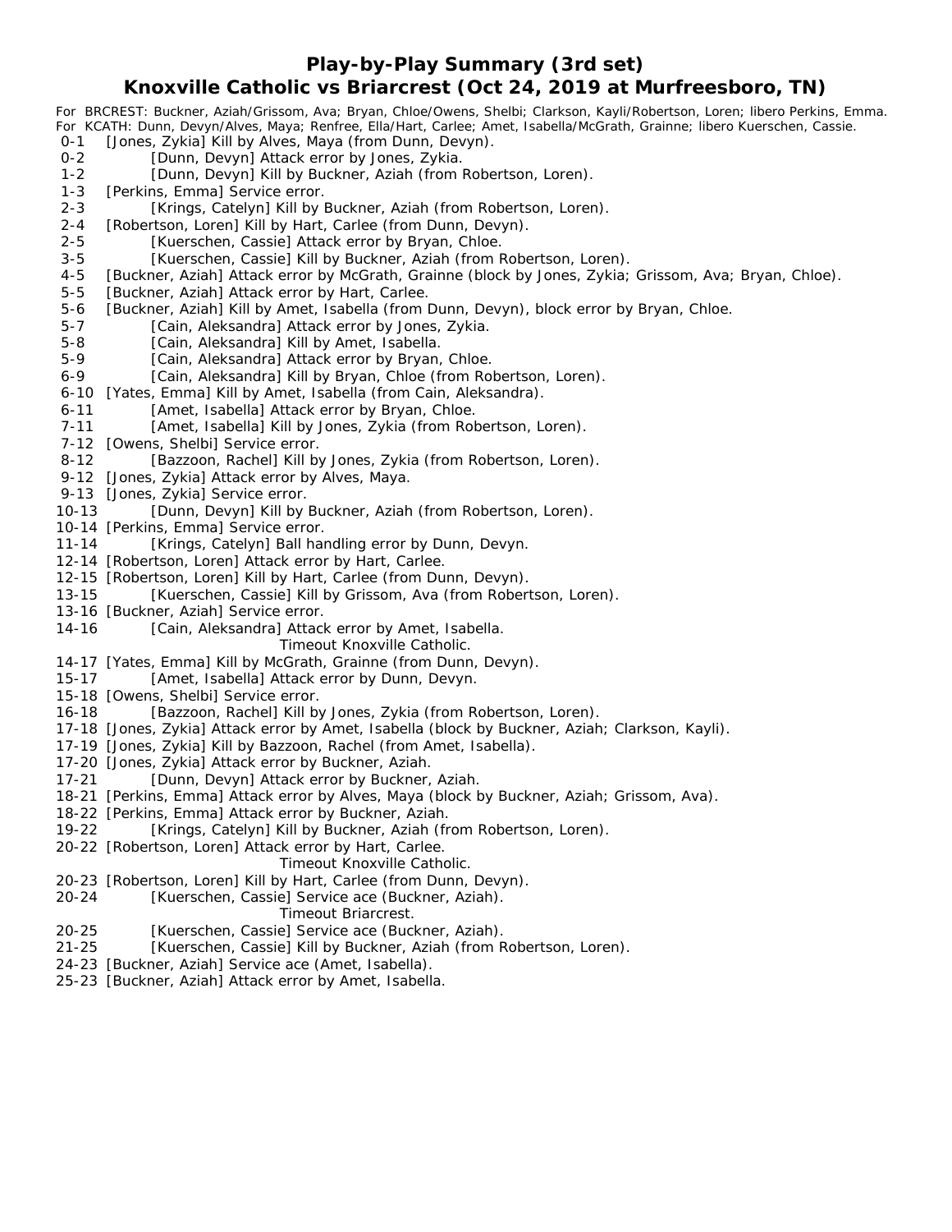### **Play-by-Play Summary (3rd set)**

## **Knoxville Catholic vs Briarcrest (Oct 24, 2019 at Murfreesboro, TN)**

*For BRCREST: Buckner, Aziah/Grissom, Ava; Bryan, Chloe/Owens, Shelbi; Clarkson, Kayli/Robertson, Loren; libero Perkins, Emma. For KCATH: Dunn, Devyn/Alves, Maya; Renfree, Ella/Hart, Carlee; Amet, Isabella/McGrath, Grainne; libero Kuerschen, Cassie.* 0-1 [Jones, Zykia] Kill by Alves, Maya (from Dunn, Devyn). 0-2 [Dunn, Devyn] Attack error by Jones, Zykia. 1-2 [Dunn, Devyn] Kill by Buckner, Aziah (from Robertson, Loren). 1-3 [Perkins, Emma] Service error. 2-3 [Krings, Catelyn] Kill by Buckner, Aziah (from Robertson, Loren). 2-4 [Robertson, Loren] Kill by Hart, Carlee (from Dunn, Devyn). 2-5 [Kuerschen, Cassie] Attack error by Bryan, Chloe. 3-5 [Kuerschen, Cassie] Kill by Buckner, Aziah (from Robertson, Loren). 4-5 [Buckner, Aziah] Attack error by McGrath, Grainne (block by Jones, Zykia; Grissom, Ava; Bryan, Chloe). 5-5 [Buckner, Aziah] Attack error by Hart, Carlee. 5-6 [Buckner, Aziah] Kill by Amet, Isabella (from Dunn, Devyn), block error by Bryan, Chloe. 5-7 [Cain, Aleksandra] Attack error by Jones, Zykia. 5-8 [Cain, Aleksandra] Kill by Amet, Isabella. 5-9 [Cain, Aleksandra] Attack error by Bryan, Chloe. 6-9 [Cain, Aleksandra] Kill by Bryan, Chloe (from Robertson, Loren). 6-10 [Yates, Emma] Kill by Amet, Isabella (from Cain, Aleksandra). 6-11 [Amet, Isabella] Attack error by Bryan, Chloe. 7-11 [Amet, Isabella] Kill by Jones, Zykia (from Robertson, Loren). 7-12 [Owens, Shelbi] Service error. 8-12 [Bazzoon, Rachel] Kill by Jones, Zykia (from Robertson, Loren). 9-12 [Jones, Zykia] Attack error by Alves, Maya. 9-13 [Jones, Zykia] Service error. 10-13 [Dunn, Devyn] Kill by Buckner, Aziah (from Robertson, Loren). 10-14 [Perkins, Emma] Service error. 11-14 [Krings, Catelyn] Ball handling error by Dunn, Devyn. 12-14 [Robertson, Loren] Attack error by Hart, Carlee. 12-15 [Robertson, Loren] Kill by Hart, Carlee (from Dunn, Devyn). 13-15 [Kuerschen, Cassie] Kill by Grissom, Ava (from Robertson, Loren). 13-16 [Buckner, Aziah] Service error. 14-16 [Cain, Aleksandra] Attack error by Amet, Isabella. *Timeout Knoxville Catholic.* 14-17 [Yates, Emma] Kill by McGrath, Grainne (from Dunn, Devyn). 15-17 [Amet, Isabella] Attack error by Dunn, Devyn. 15-18 [Owens, Shelbi] Service error. 16-18 [Bazzoon, Rachel] Kill by Jones, Zykia (from Robertson, Loren). 17-18 [Jones, Zykia] Attack error by Amet, Isabella (block by Buckner, Aziah; Clarkson, Kayli). 17-19 [Jones, Zykia] Kill by Bazzoon, Rachel (from Amet, Isabella). 17-20 [Jones, Zykia] Attack error by Buckner, Aziah. 17-21 [Dunn, Devyn] Attack error by Buckner, Aziah. 18-21 [Perkins, Emma] Attack error by Alves, Maya (block by Buckner, Aziah; Grissom, Ava).

- 18-22 [Perkins, Emma] Attack error by Buckner, Aziah.
- 19-22 [Krings, Catelyn] Kill by Buckner, Aziah (from Robertson, Loren).
- 20-22 [Robertson, Loren] Attack error by Hart, Carlee.

#### *Timeout Knoxville Catholic.*

- 20-23 [Robertson, Loren] Kill by Hart, Carlee (from Dunn, Devyn).
- 20-24 [Kuerschen, Cassie] Service ace (Buckner, Aziah).

#### *Timeout Briarcrest.*

- 20-25 [Kuerschen, Cassie] Service ace (Buckner, Aziah).
- 21-25 [Kuerschen, Cassie] Kill by Buckner, Aziah (from Robertson, Loren).
- 24-23 [Buckner, Aziah] Service ace (Amet, Isabella).
- 25-23 [Buckner, Aziah] Attack error by Amet, Isabella.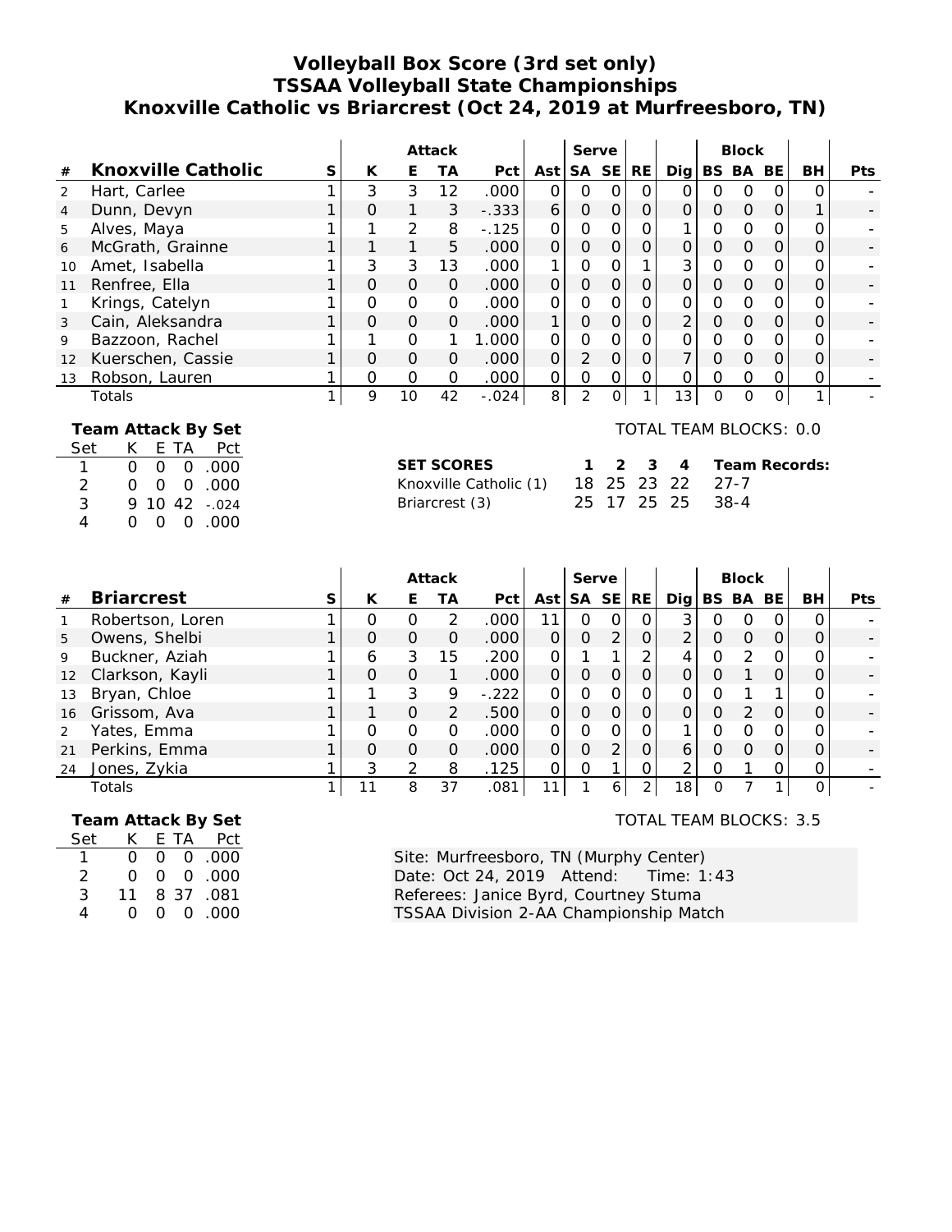# **Volleyball Box Score (3rd set only) TSSAA Volleyball State Championships Knoxville Catholic vs Briarcrest (Oct 24, 2019 at Murfreesboro, TN)**

|                |                                                    |   |          |               | Attack   |          |                |          | Serve    |               |                        |          | <b>Block</b> |          |          |            |
|----------------|----------------------------------------------------|---|----------|---------------|----------|----------|----------------|----------|----------|---------------|------------------------|----------|--------------|----------|----------|------------|
| #              | Knoxville Catholic                                 | S | К        | Е             | ТA       | Pct      | Ast            |          | SA SE    | RE.           | Digl                   |          | BS BA        | BE       | BH       | <b>Pts</b> |
| 2              | Hart, Carlee                                       |   | 3        | 3             | 12       | .000     | $\Omega$       | 0        | O        | O             | $\Omega$               | Ο        | $\Omega$     | Ω        | Ω        |            |
| $\overline{4}$ | Dunn, Devyn                                        |   | $\Omega$ | $\mathbf{1}$  | 3        | $-.333$  | 6              | $\Omega$ | $\Omega$ | $\mathcal{O}$ | $\Omega$               | O        | $\Omega$     | $\Omega$ |          |            |
| 5              | Alves, Maya                                        |   |          | 2             | 8        | $-0.125$ | $\Omega$       | 0        |          |               |                        | 0        | $\Omega$     | Ω        |          |            |
| 6              | McGrath, Grainne                                   |   |          |               | 5        | .000     | $\overline{O}$ | $\Omega$ | O        | 0             | $\Omega$               | O        | $\Omega$     | 0        | $\Omega$ |            |
| 10             | Amet, Isabella                                     |   | 3        | 3             | 13       | .000     |                | 0        |          |               | 3                      | Ο        | $\Omega$     | Ω        |          |            |
| 11             | Renfree, Ella                                      |   | $\Omega$ | $\Omega$      | $\Omega$ | .000     | $\Omega$       | Ο        | O        | 0             | $\Omega$               | Ο        | $\Omega$     | O        | Ο        |            |
|                | Krings, Catelyn                                    |   | $\Omega$ | $\mathcal{O}$ | $\Omega$ | .000     | $\Omega$       | Ο        |          | 0             | O                      | Ω        | $\Omega$     | O        | Ω        |            |
| 3              | Cain, Aleksandra                                   |   | $\Omega$ | $\Omega$      | $\Omega$ | .000     | 1              | 0        |          | 0             | $\overline{2}$         | $\Omega$ | $\Omega$     | $\Omega$ | O        |            |
| 9              | Bazzoon, Rachel                                    |   |          | 0             |          | 1.000    | $\Omega$       | 0        |          | 0             |                        | O        | $\Omega$     | Ω        |          |            |
| 12             | Kuerschen, Cassie                                  |   | $\Omega$ | $\Omega$      | $\Omega$ | .000     | $\overline{O}$ | 2        | $\Omega$ | 0             | 7                      | O        | $\Omega$     | $\Omega$ | 0        |            |
| 13             | Robson, Lauren                                     |   | $\Omega$ | $\mathcal{O}$ | $\Omega$ | .000     | 0              | O        | $\Omega$ | 0             | $\Omega$               | Ο        | $\Omega$     | 0        | 0        |            |
|                | Totals                                             |   | 9        | 10            | 42       | $-.024$  | 8              | 2        |          |               | 13                     | O        | $\Omega$     | 0        | 1        |            |
|                | Team Attack By Set<br>Set<br>Pct<br>E.<br>ΙA<br>K. |   |          |               |          |          |                |          |          |               | TOTAL TEAM BLOCKS: 0.0 |          |              |          |          |            |

| bet K EIA PCI                |                                         |  |  |                       |
|------------------------------|-----------------------------------------|--|--|-----------------------|
| 1 0 0 0 0 000                | SET SCORES                              |  |  | 1 2 3 4 Team Records: |
| 2 0 0 0 0 000                | Knoxville Catholic (1) 18 25 23 22 27-7 |  |  |                       |
| $3 \t 9 \t 10 \t 42 \t -024$ | Briarcrest (3)                          |  |  | 25 17 25 25 38-4      |
| 4 0 0 0 0 000                |                                         |  |  |                       |

|                   |                   |    |          |          | Attack        |                   |          | Serve     |           |           |                 |   | <b>Block</b>  |     |          |            |
|-------------------|-------------------|----|----------|----------|---------------|-------------------|----------|-----------|-----------|-----------|-----------------|---|---------------|-----|----------|------------|
| #                 | <b>Briarcrest</b> | S. | К        | E        | TА            | Pct               | Ast l    | <b>SA</b> | <b>SE</b> | <b>RE</b> | Dia             |   | BS BA         | BE. | BH       | <b>Pts</b> |
|                   | Robertson, Loren  |    | Ω        |          | $\mathcal{P}$ | .000              | 11       | O         |           |           | 3               | Ο |               | 0   |          |            |
| 5                 | Owens, Shelbi     |    | $\Omega$ | $\Omega$ | $\Omega$      | .000 <sub>1</sub> |          | 0         | 2         |           | 2               | Ω | $\Omega$      |     |          |            |
| 9                 | Buckner, Aziah    |    | 6        | 3        | 15            | .200              | $\Omega$ |           |           | ⌒         |                 | O |               |     | O        |            |
| $12 \overline{ }$ | Clarkson, Kayli   |    | $\Omega$ | $\Omega$ |               | .000              | $\Omega$ | $\Omega$  |           |           | Ω               | ი |               |     |          |            |
| 13                | Bryan, Chloe      |    |          | 3        | 9             | $-.222$           | ∩        | 0         |           |           | ∩               | ∩ |               |     | O        |            |
| 16                | Grissom, Ava      |    |          | $\Omega$ | 2             | .500              | 0        | $\Omega$  | O         |           | O               | Ο | $\mathcal{P}$ | O   | Ο        |            |
| 2                 | Yates, Emma       |    | O        | $\Omega$ | Ο             | .000              | ∩        | Ω         |           |           |                 | ი |               |     | Ω        |            |
| 21                | Perkins, Emma     |    | $\Omega$ | $\Omega$ | $\Omega$      | .000              | $\Omega$ | 0         |           | Ω         | 6               | Ω | $\Omega$      | Ω   |          |            |
| 24                | Jones, Zykia      |    | 3        | 2        | 8             | .125              | Ω        | Ω         |           |           | ⌒               | Ω |               |     | Ο        |            |
|                   | Totals            |    | 11       | 8        | 37            | .081              |          |           | 6         |           | 18 <sub>1</sub> | Ω |               |     | $\Omega$ |            |

|     |                  |        |      | Team Attack By Set     |
|-----|------------------|--------|------|------------------------|
| Set | K.               |        | E TA | Pct                    |
|     | $\Omega$         |        |      | $0 \quad 0 \quad .000$ |
| 2   | $\left( \right)$ | 0.     |      | 0.000                  |
| 3   | 11               |        |      | 8 37 .081              |
| Δ   |                  | $\cap$ |      | 0.000                  |

### TOTAL TEAM BLOCKS: 3.5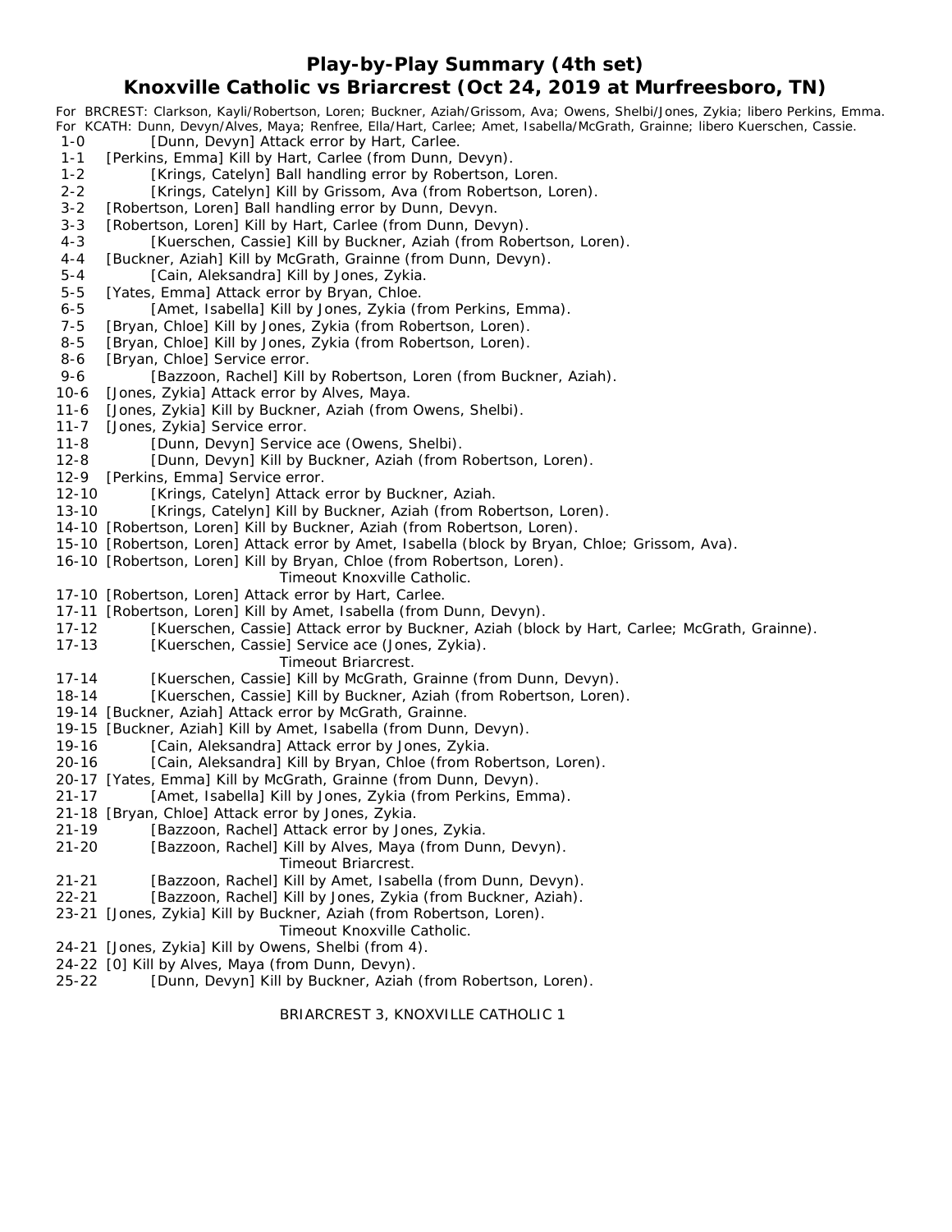## **Play-by-Play Summary (4th set)**

## **Knoxville Catholic vs Briarcrest (Oct 24, 2019 at Murfreesboro, TN)**

*For BRCREST: Clarkson, Kayli/Robertson, Loren; Buckner, Aziah/Grissom, Ava; Owens, Shelbi/Jones, Zykia; libero Perkins, Emma. For KCATH: Dunn, Devyn/Alves, Maya; Renfree, Ella/Hart, Carlee; Amet, Isabella/McGrath, Grainne; libero Kuerschen, Cassie.* [Dunn, Devyn] Attack error by Hart, Carlee. 1-1 [Perkins, Emma] Kill by Hart, Carlee (from Dunn, Devyn). 1-2 [Krings, Catelyn] Ball handling error by Robertson, Loren. 2-2 [Krings, Catelyn] Kill by Grissom, Ava (from Robertson, Loren). 3-2 [Robertson, Loren] Ball handling error by Dunn, Devyn. 3-3 [Robertson, Loren] Kill by Hart, Carlee (from Dunn, Devyn). 4-3 [Kuerschen, Cassie] Kill by Buckner, Aziah (from Robertson, Loren). 4-4 [Buckner, Aziah] Kill by McGrath, Grainne (from Dunn, Devyn). 5-4 [Cain, Aleksandra] Kill by Jones, Zykia. 5-5 [Yates, Emma] Attack error by Bryan, Chloe. 6-5 [Amet, Isabella] Kill by Jones, Zykia (from Perkins, Emma). 7-5 [Bryan, Chloe] Kill by Jones, Zykia (from Robertson, Loren). 8-5 [Bryan, Chloe] Kill by Jones, Zykia (from Robertson, Loren). 8-6 [Bryan, Chloe] Service error. 9-6 [Bazzoon, Rachel] Kill by Robertson, Loren (from Buckner, Aziah). 10-6 [Jones, Zykia] Attack error by Alves, Maya. 11-6 [Jones, Zykia] Kill by Buckner, Aziah (from Owens, Shelbi). 11-7 [Jones, Zykia] Service error. 11-8 [Dunn, Devyn] Service ace (Owens, Shelbi). 12-8 [Dunn, Devyn] Kill by Buckner, Aziah (from Robertson, Loren). 12-9 [Perkins, Emma] Service error. 12-10 [Krings, Catelyn] Attack error by Buckner, Aziah. 13-10 [Krings, Catelyn] Kill by Buckner, Aziah (from Robertson, Loren). 14-10 [Robertson, Loren] Kill by Buckner, Aziah (from Robertson, Loren). 15-10 [Robertson, Loren] Attack error by Amet, Isabella (block by Bryan, Chloe; Grissom, Ava). 16-10 [Robertson, Loren] Kill by Bryan, Chloe (from Robertson, Loren). *Timeout Knoxville Catholic.* 17-10 [Robertson, Loren] Attack error by Hart, Carlee. 17-11 [Robertson, Loren] Kill by Amet, Isabella (from Dunn, Devyn). 17-12 [Kuerschen, Cassie] Attack error by Buckner, Aziah (block by Hart, Carlee; McGrath, Grainne). 17-13 [Kuerschen, Cassie] Service ace (Jones, Zykia). *Timeout Briarcrest.* 17-14 [Kuerschen, Cassie] Kill by McGrath, Grainne (from Dunn, Devyn). 18-14 [Kuerschen, Cassie] Kill by Buckner, Aziah (from Robertson, Loren). 19-14 [Buckner, Aziah] Attack error by McGrath, Grainne. 19-15 [Buckner, Aziah] Kill by Amet, Isabella (from Dunn, Devyn). 19-16 [Cain, Aleksandra] Attack error by Jones, Zykia. 20-16 [Cain, Aleksandra] Kill by Bryan, Chloe (from Robertson, Loren). 20-17 [Yates, Emma] Kill by McGrath, Grainne (from Dunn, Devyn). 21-17 [Amet, Isabella] Kill by Jones, Zykia (from Perkins, Emma). 21-18 [Bryan, Chloe] Attack error by Jones, Zykia. 21-19 [Bazzoon, Rachel] Attack error by Jones, Zykia. 21-20 [Bazzoon, Rachel] Kill by Alves, Maya (from Dunn, Devyn). *Timeout Briarcrest.* 21-21 [Bazzoon, Rachel] Kill by Amet, Isabella (from Dunn, Devyn). 22-21 [Bazzoon, Rachel] Kill by Jones, Zykia (from Buckner, Aziah). 23-21 [Jones, Zykia] Kill by Buckner, Aziah (from Robertson, Loren). *Timeout Knoxville Catholic.*

- 24-21 [Jones, Zykia] Kill by Owens, Shelbi (from 4).
- 24-22 [0] Kill by Alves, Maya (from Dunn, Devyn).
- 25-22 [Dunn, Devyn] Kill by Buckner, Aziah (from Robertson, Loren).

#### BRIARCREST 3, KNOXVILLE CATHOLIC 1